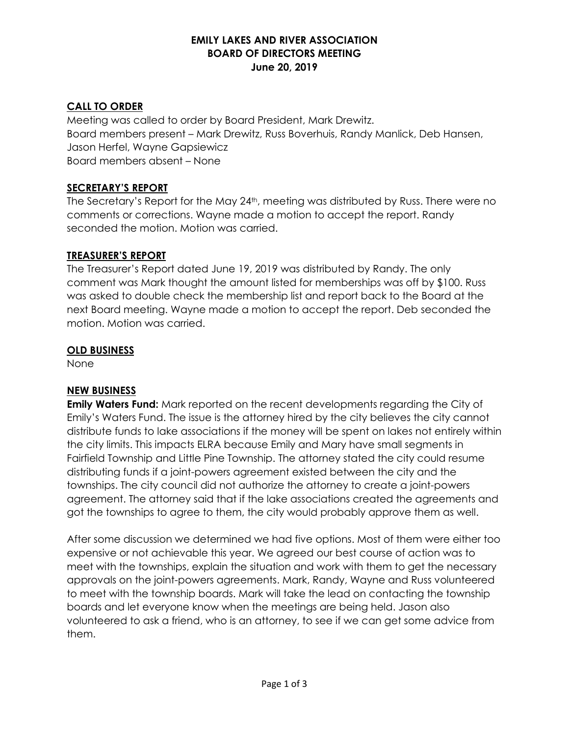### **EMILY LAKES AND RIVER ASSOCIATION BOARD OF DIRECTORS MEETING June 20, 2019**

### **CALL TO ORDER**

Meeting was called to order by Board President, Mark Drewitz. Board members present – Mark Drewitz, Russ Boverhuis, Randy Manlick, Deb Hansen, Jason Herfel, Wayne Gapsiewicz Board members absent – None

### **SECRETARY'S REPORT**

The Secretary's Report for the May 24<sup>th</sup>, meeting was distributed by Russ. There were no comments or corrections. Wayne made a motion to accept the report. Randy seconded the motion. Motion was carried.

### **TREASURER'S REPORT**

The Treasurer's Report dated June 19, 2019 was distributed by Randy. The only comment was Mark thought the amount listed for memberships was off by \$100. Russ was asked to double check the membership list and report back to the Board at the next Board meeting. Wayne made a motion to accept the report. Deb seconded the motion. Motion was carried.

### **OLD BUSINESS**

None

# **NEW BUSINESS**

**Emily Waters Fund:** Mark reported on the recent developments regarding the City of Emily's Waters Fund. The issue is the attorney hired by the city believes the city cannot distribute funds to lake associations if the money will be spent on lakes not entirely within the city limits. This impacts ELRA because Emily and Mary have small segments in Fairfield Township and Little Pine Township. The attorney stated the city could resume distributing funds if a joint-powers agreement existed between the city and the townships. The city council did not authorize the attorney to create a joint-powers agreement. The attorney said that if the lake associations created the agreements and got the townships to agree to them, the city would probably approve them as well.

After some discussion we determined we had five options. Most of them were either too expensive or not achievable this year. We agreed our best course of action was to meet with the townships, explain the situation and work with them to get the necessary approvals on the joint-powers agreements. Mark, Randy, Wayne and Russ volunteered to meet with the township boards. Mark will take the lead on contacting the township boards and let everyone know when the meetings are being held. Jason also volunteered to ask a friend, who is an attorney, to see if we can get some advice from them.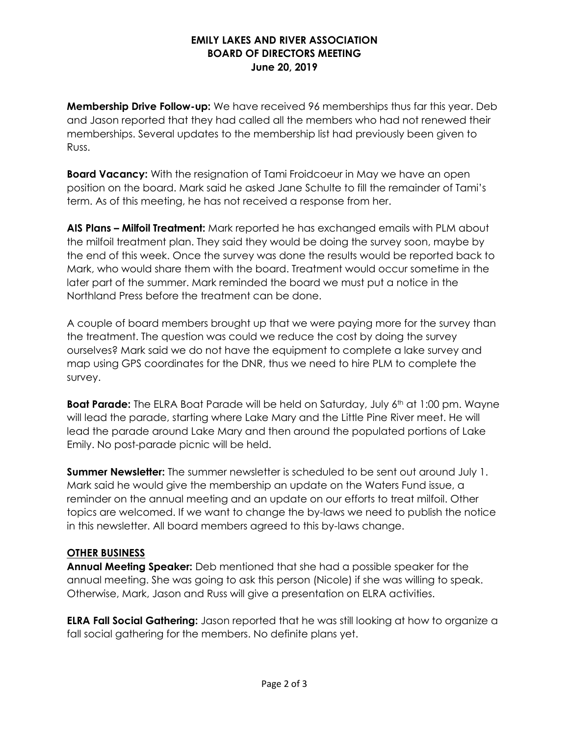### **EMILY LAKES AND RIVER ASSOCIATION BOARD OF DIRECTORS MEETING June 20, 2019**

**Membership Drive Follow-up:** We have received 96 memberships thus far this year. Deb and Jason reported that they had called all the members who had not renewed their memberships. Several updates to the membership list had previously been given to Russ.

**Board Vacancy:** With the resignation of Tami Froidcoeur in May we have an open position on the board. Mark said he asked Jane Schulte to fill the remainder of Tami's term. As of this meeting, he has not received a response from her.

**AIS Plans – Milfoil Treatment:** Mark reported he has exchanged emails with PLM about the milfoil treatment plan. They said they would be doing the survey soon, maybe by the end of this week. Once the survey was done the results would be reported back to Mark, who would share them with the board. Treatment would occur sometime in the later part of the summer. Mark reminded the board we must put a notice in the Northland Press before the treatment can be done.

A couple of board members brought up that we were paying more for the survey than the treatment. The question was could we reduce the cost by doing the survey ourselves? Mark said we do not have the equipment to complete a lake survey and map using GPS coordinates for the DNR, thus we need to hire PLM to complete the survey.

**Boat Parade:** The ELRA Boat Parade will be held on Saturday, July 6<sup>th</sup> at 1:00 pm. Wayne will lead the parade, starting where Lake Mary and the Little Pine River meet. He will lead the parade around Lake Mary and then around the populated portions of Lake Emily. No post-parade picnic will be held.

**Summer Newsletter:** The summer newsletter is scheduled to be sent out around July 1. Mark said he would give the membership an update on the Waters Fund issue, a reminder on the annual meeting and an update on our efforts to treat milfoil. Other topics are welcomed. If we want to change the by-laws we need to publish the notice in this newsletter. All board members agreed to this by-laws change.

# **OTHER BUSINESS**

**Annual Meeting Speaker:** Deb mentioned that she had a possible speaker for the annual meeting. She was going to ask this person (Nicole) if she was willing to speak. Otherwise, Mark, Jason and Russ will give a presentation on ELRA activities.

**ELRA Fall Social Gathering:** Jason reported that he was still looking at how to organize a fall social gathering for the members. No definite plans yet.